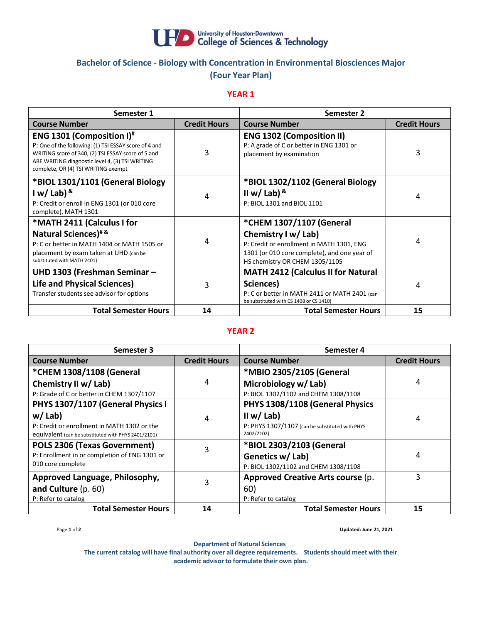

# **Bachelor of Science - Biology with Concentration in Environmental Biosciences Major (Four Year Plan)**

## **YEAR 1**

| Semester 1                                                                                                                                                                                                                                     |                     | Semester 2                                                                                                                                                                     |                     |
|------------------------------------------------------------------------------------------------------------------------------------------------------------------------------------------------------------------------------------------------|---------------------|--------------------------------------------------------------------------------------------------------------------------------------------------------------------------------|---------------------|
| <b>Course Number</b>                                                                                                                                                                                                                           | <b>Credit Hours</b> | <b>Course Number</b>                                                                                                                                                           | <b>Credit Hours</b> |
| ENG 1301 (Composition I) <sup>#</sup><br>P: One of the following: (1) TSI ESSAY score of 4 and<br>WRITING score of 340, (2) TSI ESSAY score of 5 and<br>ABE WRITING diagnostic level 4, (3) TSI WRITING<br>complete, OR (4) TSI WRITING exempt | 3                   | <b>ENG 1302 (Composition II)</b><br>P: A grade of C or better in ENG 1301 or<br>placement by examination                                                                       | 3                   |
| *BIOL 1301/1101 (General Biology<br>I w/ Lab) $8$<br>P: Credit or enroll in ENG 1301 (or 010 core<br>complete), MATH 1301                                                                                                                      | 4                   | *BIOL 1302/1102 (General Biology<br>II w/ Lab) $8$<br>P: BIOL 1301 and BIOL 1101                                                                                               | 4                   |
| *MATH 2411 (Calculus I for<br>Natural Sciences) <sup>#&amp;</sup><br>P: C or better in MATH 1404 or MATH 1505 or<br>placement by exam taken at UHD (can be<br>substituted with MATH 2401)                                                      | 4                   | *CHEM 1307/1107 (General<br>Chemistry I w/ Lab)<br>P: Credit or enrollment in MATH 1301, ENG<br>1301 (or 010 core complete), and one year of<br>HS chemistry OR CHEM 1305/1105 | 4                   |
| UHD 1303 (Freshman Seminar -<br><b>Life and Physical Sciences)</b><br>Transfer students see advisor for options                                                                                                                                | 3                   | <b>MATH 2412 (Calculus II for Natural</b><br>Sciences)<br>P: C or better in MATH 2411 or MATH 2401 (can<br>be substituted with CS 1408 or CS 1410)                             | 4                   |
| <b>Total Semester Hours</b>                                                                                                                                                                                                                    | 14                  | <b>Total Semester Hours</b>                                                                                                                                                    | 15                  |

## **YEAR 2**

| Semester 3                                                                                         |                     | Semester 4                                                    |                     |
|----------------------------------------------------------------------------------------------------|---------------------|---------------------------------------------------------------|---------------------|
| <b>Course Number</b>                                                                               | <b>Credit Hours</b> | <b>Course Number</b>                                          | <b>Credit Hours</b> |
| *CHEM 1308/1108 (General                                                                           |                     | *MBIO 2305/2105 (General                                      |                     |
| Chemistry II w/ Lab)                                                                               | 4                   | Microbiology w/Lab)                                           | 4                   |
| P: Grade of C or better in CHEM 1307/1107                                                          |                     | P: BIOL 1302/1102 and CHEM 1308/1108                          |                     |
| PHYS 1307/1107 (General Physics I                                                                  |                     | PHYS 1308/1108 (General Physics                               |                     |
| $w /$ Lab)                                                                                         | 4                   | II w/ Lab)                                                    | 4                   |
| P: Credit or enrollment in MATH 1302 or the<br>equivalent (can be substituted with PHYS 2401/2101) |                     | P: PHYS 1307/1107 (can be substituted with PHYS<br>2402/2102) |                     |
| POLS 2306 (Texas Government)                                                                       |                     | *BIOL 2303/2103 (General                                      |                     |
| P: Enrollment in or completion of ENG 1301 or                                                      |                     | Genetics w/ Lab)                                              | 4                   |
| 010 core complete                                                                                  |                     | P: BIOL 1302/1102 and CHEM 1308/1108                          |                     |
| Approved Language, Philosophy,                                                                     |                     | Approved Creative Arts course (p.                             | 3                   |
| and Culture $(p. 60)$                                                                              | 3                   | 60)                                                           |                     |
| P: Refer to catalog                                                                                |                     | P: Refer to catalog                                           |                     |
| <b>Total Semester Hours</b>                                                                        | 14                  | <b>Total Semester Hours</b>                                   | 15                  |

Page **1** of **2 Updated: June 21, 2021**

**Department of Natural Sciences**

**The current catalog will have final authority over all degree requirements. Students should meet with their academic advisor to formulate their own plan.**